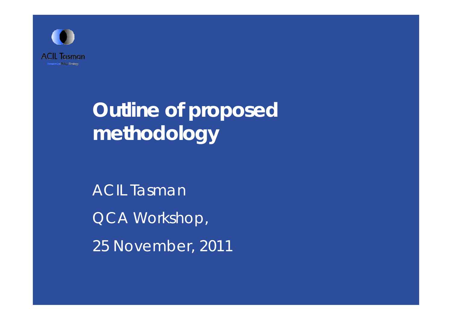

# **Outline of proposed methodology**

ACIL Tasman QCA Workshop, 25 November, 2011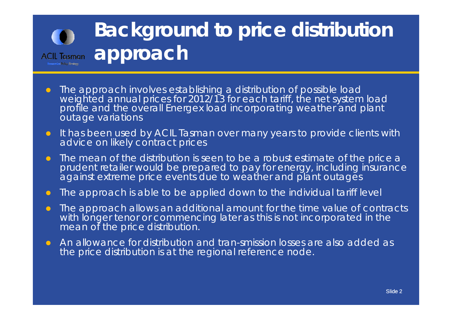# **Background to price distribution ACIL Tasman approach**

- $\bullet$ • The approach involves establishing a distribution of possible load<br>weighted annual prices for 2012/13 for each tariff, the net system load profile and the overall Energex load incorporating weather and plant outage variations
- $\bullet$  It has been used by ACIL Tasman over many years to provide clients with advice on likely contract prices
- $\bullet$  The mean of the distribution is seen to be a robust estimate of the price a prudent retailer would be prepared to pay for energy, including insurance against extreme price events due to weather and plant outages
- $\bullet$ The approach is able to be applied down to the individual tariff level
- $\bullet$  The approach allows an additional amount for the time value of contracts with longer tenor or commencing later as this is not incorporated in the mean of the price distribution.
- $\bullet$  An allowance for distribution and tran-smission losses are also added as the price distribution is at the regional reference node.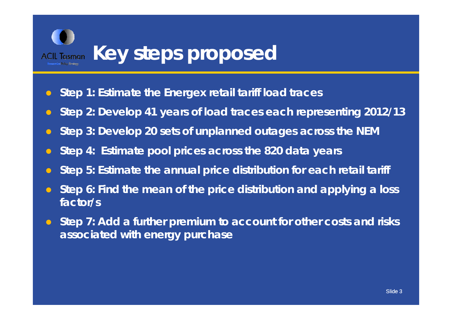

- $\bullet$ **Step 1: Estimate the Energex retail tariff load traces**
- $\bullet$ **Step 2: Develop 41 years of load traces each representing 2012/13**
- $\bullet$ **Step 3: Develop 20 sets of unplanned outages across the NEM**
- $\bullet$ **Step 4: Estimate pool prices across the 820 data years**
- $\bullet$ **Step 5: Estimate the annual price distribution for each retail tariff**
- $\bullet$  **Step 6: Find the mean of the price distribution and applying a loss factor/s**
- $\bullet$  **Step 7: Add a further premium to account for other costs and risks associ t d ith h ia ted with energy purc hase**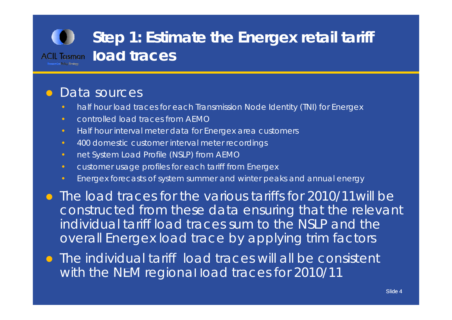## **Step 1: Estimate the Energex retail tariff ACIL Tasman load traces**

#### $\bigcirc$ Data sources

- half hour load traces for each Transmission Node Identity (TNI) for Energex
- •controlled load traces from AEMO
- Half hour interval meter data for Energex area customers
- 400 domestic customer interval meter recordings
- net System Load Profile (NSLP) from AEMO
- customer usage profiles for each tariff from Energex
- Energex forecasts of system summer and winter peaks and annual energy
- The load traces for the various tariffs for 2010/11will be constructed from these data ensuring that the relevant individual tariff load traces sum to the NSLP and the overall Energex load trace by applying trim factors
- The individual tariff load traces will all be consistent with the NEM regional load traces for 2010/11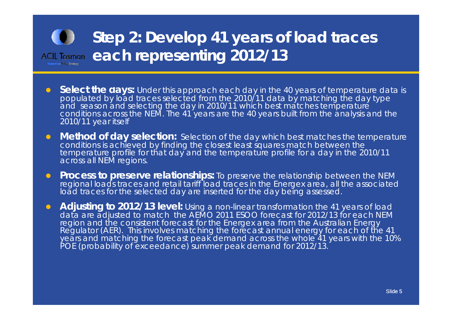### **Step 2: Develop 41 years of load traces**  ACIL Tasman each representing 2012/13 Economics Policy Synthesis

- $\bullet$ **Select the days:** Under this approach each day in the 40 years of temperature data is populated by load traces selected from the 2010/11 data by matching the day type and season and selecting the day in 2010/11 which best matches temperature conditions across the NEM. The 41 years are the 40 years built from the analysis and the 2010/11 year itself
- $\bullet$  **Method of day selection:** Selection of the day which best matches the temperature conditions is achieved by finding the closest least squares match between the temperature profile for that day and the temperature profile for a day in the 2010/11 across all NEM regions.
- $\bullet$ **Process to preserve relationships:** To preserve the relationship between the NEM regional loads traces and retail tariff load traces in the Energex area, all the associated load traces for the selected day are inserted for the day bein g assessed.
- $\bullet$  **Adjusting to 2012/13 level:** Using a non-linear transformation the 41 years of load data are adjusted to match the AEMO 2011 ESOO forecast for 2012/13 for each NEM<br>region and the consistent forecast for the Energex area from the Australian Energy Regulator (AER). This involves matching the forecast annual energy for each of the 41 years and matching the forecast peak demand across the whole 41 years with the 10% POE (probability of exceedance) summer peak demand for 2012/13.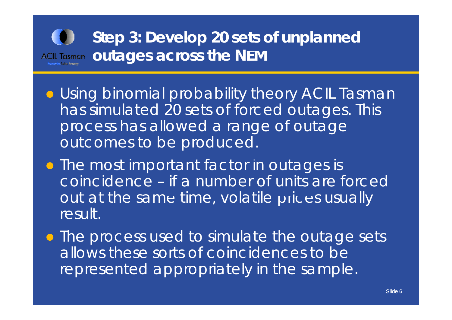## **Step 3: Develop 20 sets of unplanned out th N tages across e NEM**

- **Using binomial probability theory ACIL Tasman** has simulated 20 sets of forced outages. This process has allowed a range of outage outcomes to be produced.
- The most important factor in outages is coincidence – if a number of units are forced out at the same time, volatile prices usually result.
- The process used to simulate the outage sets allows these sorts of coincidences to be represented appropriately in the sample .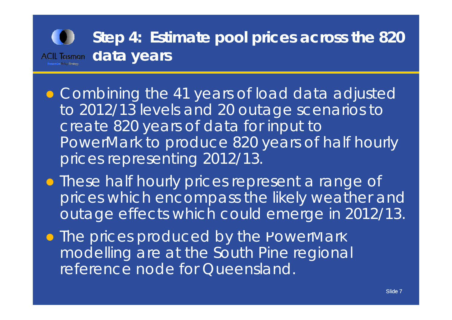## **Step 4: Estimate pool prices across the 820 d a ta years**

- Combining the 41 years of load data adjusted to 2012/13 levels and 20 outage scenarios to create 820 years of data for input to *PowerMark* to produce 820 years of half hourly prices representing 2012/13.
- **These half hourly prices represent a range of** prices which encompass the likely weather and outage effects which could emerge in 2012/13.
- The prices produced by the *PowerMark* modelling are at the South Pine regional reference node for Queensland .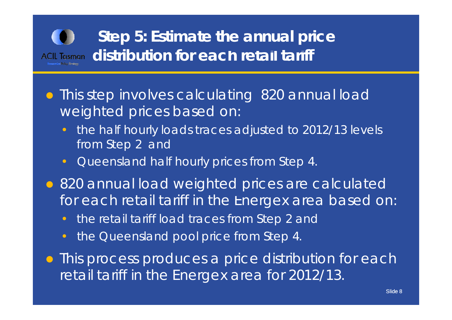

- This step involves calculating 820 annual load weighted prices based on:
	- • the half hourly loads traces adjusted to 2012/13 levels from Step 2 and
	- $\bullet$ Queensland half hourly prices from Step 4.
- 820 annual load weighted prices are calculated for each retail tariff in the Energex area based on:
	- •the retail tariff load traces from Step 2 and
	- •• the Queensland pool price from Step 4.
- **This process produces a price distribution for each** retail tariff in the Energex area for 2012/13.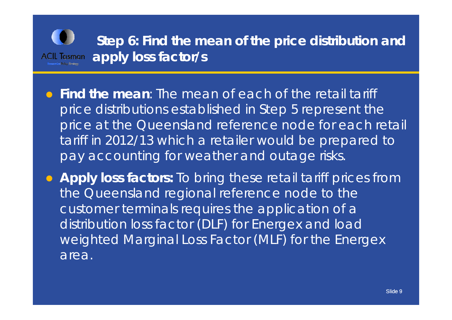

 **Find the mean**: The mean of each of the retail tariff price distributions established in Step 5 represent the price at the Queensland reference node for each retail tariff in 2012/13 which a retailer would be prepared to pay accounting for weather and outage risks.

**Apply loss factors:** To bring these retail tariff prices from the Queensland regional reference node to the customer terminals requires the application of a distribution loss factor (DLF) for Energex and load weighted Marginal Loss Factor (MLF) for the Energex area.